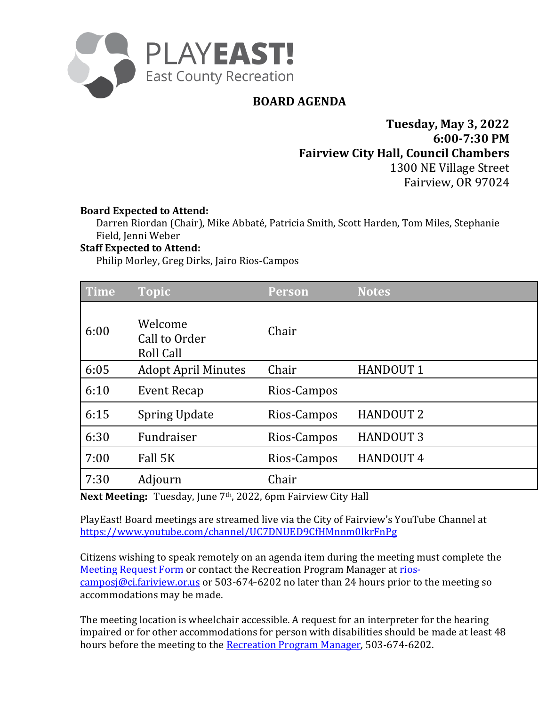

# **BOARD AGENDA**

**Tuesday, May 3, 2022 6:00-7:30 PM Fairview City Hall, Council Chambers** 1300 NE Village Street Fairview, OR 97024

### **Board Expected to Attend:**

Darren Riordan (Chair), Mike Abbaté, Patricia Smith, Scott Harden, Tom Miles, Stephanie Field, Jenni Weber

### **Staff Expected to Attend:**

Philip Morley, Greg Dirks, Jairo Rios-Campos

| Time | <b>Topic</b>                                 | <b>Person</b> | <b>Notes</b>     |
|------|----------------------------------------------|---------------|------------------|
| 6:00 | Welcome<br>Call to Order<br><b>Roll Call</b> | Chair         |                  |
| 6:05 | <b>Adopt April Minutes</b>                   | Chair         | <b>HANDOUT 1</b> |
| 6:10 | <b>Event Recap</b>                           | Rios-Campos   |                  |
| 6:15 | <b>Spring Update</b>                         | Rios-Campos   | <b>HANDOUT 2</b> |
| 6:30 | Fundraiser                                   | Rios-Campos   | <b>HANDOUT 3</b> |
| 7:00 | Fall 5K                                      | Rios-Campos   | <b>HANDOUT 4</b> |
| 7:30 | Adjourn                                      | Chair         |                  |

**Next Meeting:** Tuesday, June 7th, 2022, 6pm Fairview City Hall

PlayEast! Board meetings are streamed live via the City of Fairview's YouTube Channel at <https://www.youtube.com/channel/UC7DNUED9CfHMnnm0lkrFnPg>

Citizens wishing to speak remotely on an agenda item during the mee[ting must complete the](mailto:rios-camposj@ci.fariview.or.us)  [Meeting Request Form](https://fairvieworegon.gov/FormCenter/Meeting-Public-Comments-18/PlayEast-Board-Meeting-Speaker-Request-F-93) or contact the Recreation Program Manager at rios[camposj@ci.fariview.or.us](mailto:rios-camposj@ci.fariview.or.us) or 503-674-6202 no later than 24 hours prior to the meeting so accommodations may be made.

The meeting location is wheelchair accessible. A request for an interpreter for the hearing impaired or for other accommodations for person with disabilities should be made at least 48 hours before the meeting to the [Recreation Program Manager,](mailto:rios-camposj@ci.fairview.or.us?subject=PlayEast!%20Board%20Meeting) 503-674-6202.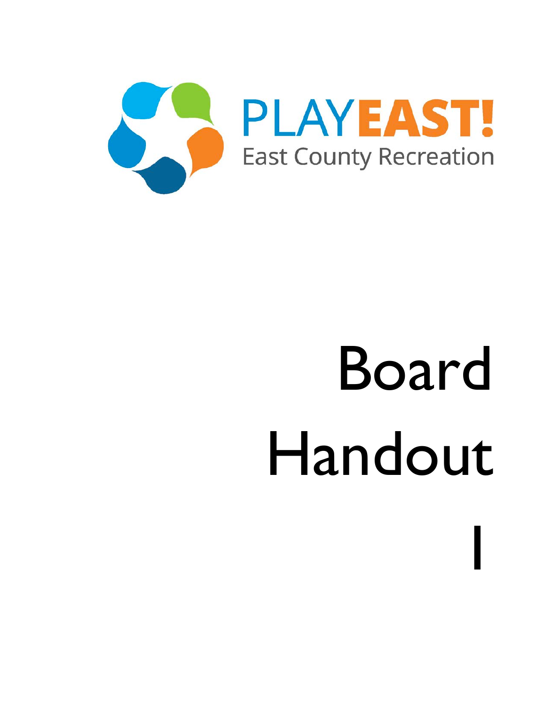

1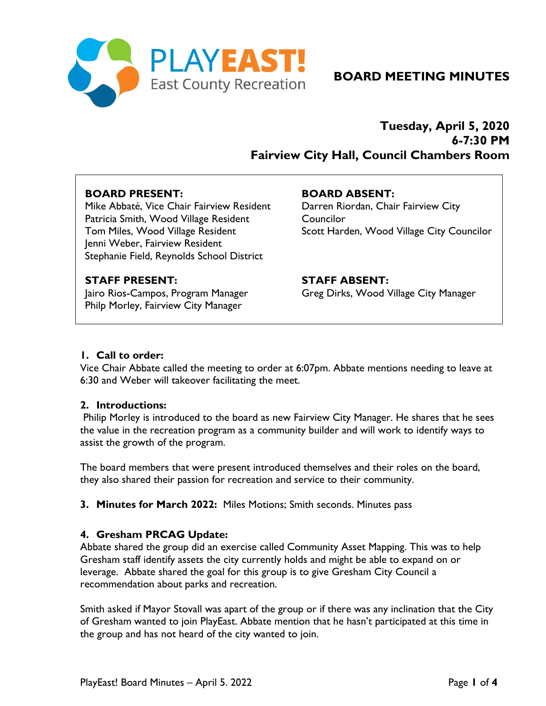

# **BOARD MEETING MINUTES**

## **Tuesday, April 5, 2020 6-7:30 PM Fairview City Hall, Council Chambers Room**

### **BOARD PRESENT:**

Mike Abbaté, Vice Chair Fairview Resident Patricia Smith, Wood Village Resident Tom Miles, Wood Village Resident Jenni Weber, Fairview Resident Stephanie Field, Reynolds School District

### **BOARD ABSENT:**

Darren Riordan, Chair Fairview City **Councilor** Scott Harden, Wood Village City Councilor

### **STAFF PRESENT:**

Jairo Rios-Campos, Program Manager Philp Morley, Fairview City Manager

**STAFF ABSENT:** Greg Dirks, Wood Village City Manager

### **1. Call to order:**

Vice Chair Abbate called the meeting to order at 6:07pm. Abbate mentions needing to leave at 6:30 and Weber will takeover facilitating the meet.

### **2. Introductions:**

Philip Morley is introduced to the board as new Fairview City Manager. He shares that he sees the value in the recreation program as a community builder and will work to identify ways to assist the growth of the program.

The board members that were present introduced themselves and their roles on the board, they also shared their passion for recreation and service to their community.

**3. Minutes for March 2022:** Miles Motions; Smith seconds. Minutes pass

### **4. Gresham PRCAG Update:**

Abbate shared the group did an exercise called Community Asset Mapping. This was to help Gresham staff identify assets the city currently holds and might be able to expand on or leverage. Abbate shared the goal for this group is to give Gresham City Council a recommendation about parks and recreation.

Smith asked if Mayor Stovall was apart of the group or if there was any inclination that the City of Gresham wanted to join PlayEast. Abbate mention that he hasn't participated at this time in the group and has not heard of the city wanted to join.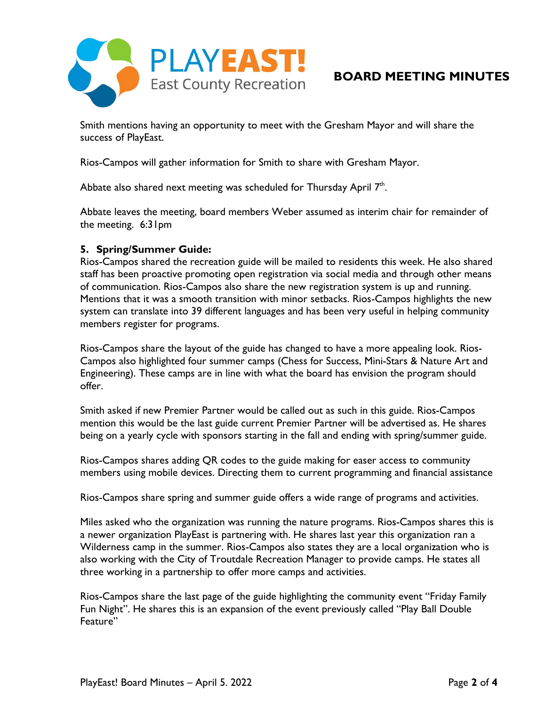

Smith mentions having an opportunity to meet with the Gresham Mayor and will share the success of PlayEast.

Rios-Campos will gather information for Smith to share with Gresham Mayor.

Abbate also shared next meeting was scheduled for Thursday April  $7<sup>th</sup>$ .

Abbate leaves the meeting, board members Weber assumed as interim chair for remainder of the meeting. 6:31pm

### **5. Spring/Summer Guide:**

Rios-Campos shared the recreation guide will be mailed to residents this week. He also shared staff has been proactive promoting open registration via social media and through other means of communication. Rios-Campos also share the new registration system is up and running. Mentions that it was a smooth transition with minor setbacks. Rios-Campos highlights the new system can translate into 39 different languages and has been very useful in helping community members register for programs.

Rios-Campos share the layout of the guide has changed to have a more appealing look. Rios-Campos also highlighted four summer camps (Chess for Success, Mini-Stars & Nature Art and Engineering). These camps are in line with what the board has envision the program should offer.

Smith asked if new Premier Partner would be called out as such in this guide. Rios-Campos mention this would be the last guide current Premier Partner will be advertised as. He shares being on a yearly cycle with sponsors starting in the fall and ending with spring/summer guide.

Rios-Campos shares adding QR codes to the guide making for easer access to community members using mobile devices. Directing them to current programming and financial assistance

Rios-Campos share spring and summer guide offers a wide range of programs and activities.

Miles asked who the organization was running the nature programs. Rios-Campos shares this is a newer organization PlayEast is partnering with. He shares last year this organization ran a Wilderness camp in the summer. Rios-Campos also states they are a local organization who is also working with the City of Troutdale Recreation Manager to provide camps. He states all three working in a partnership to offer more camps and activities.

Rios-Campos share the last page of the guide highlighting the community event "Friday Family Fun Night". He shares this is an expansion of the event previously called "Play Ball Double Feature"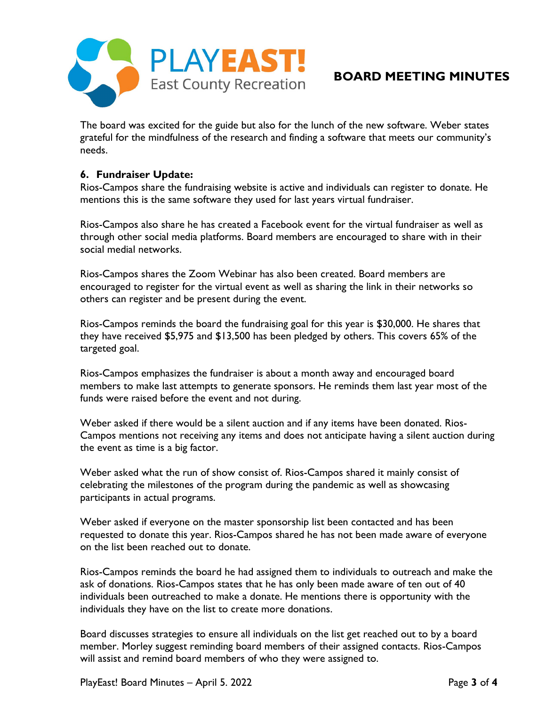

# **BOARD MEETING MINUTES**

The board was excited for the guide but also for the lunch of the new software. Weber states grateful for the mindfulness of the research and finding a software that meets our community's needs.

### **6. Fundraiser Update:**

Rios-Campos share the fundraising website is active and individuals can register to donate. He mentions this is the same software they used for last years virtual fundraiser.

Rios-Campos also share he has created a Facebook event for the virtual fundraiser as well as through other social media platforms. Board members are encouraged to share with in their social medial networks.

Rios-Campos shares the Zoom Webinar has also been created. Board members are encouraged to register for the virtual event as well as sharing the link in their networks so others can register and be present during the event.

Rios-Campos reminds the board the fundraising goal for this year is \$30,000. He shares that they have received \$5,975 and \$13,500 has been pledged by others. This covers 65% of the targeted goal.

Rios-Campos emphasizes the fundraiser is about a month away and encouraged board members to make last attempts to generate sponsors. He reminds them last year most of the funds were raised before the event and not during.

Weber asked if there would be a silent auction and if any items have been donated. Rios-Campos mentions not receiving any items and does not anticipate having a silent auction during the event as time is a big factor.

Weber asked what the run of show consist of. Rios-Campos shared it mainly consist of celebrating the milestones of the program during the pandemic as well as showcasing participants in actual programs.

Weber asked if everyone on the master sponsorship list been contacted and has been requested to donate this year. Rios-Campos shared he has not been made aware of everyone on the list been reached out to donate.

Rios-Campos reminds the board he had assigned them to individuals to outreach and make the ask of donations. Rios-Campos states that he has only been made aware of ten out of 40 individuals been outreached to make a donate. He mentions there is opportunity with the individuals they have on the list to create more donations.

Board discusses strategies to ensure all individuals on the list get reached out to by a board member. Morley suggest reminding board members of their assigned contacts. Rios-Campos will assist and remind board members of who they were assigned to.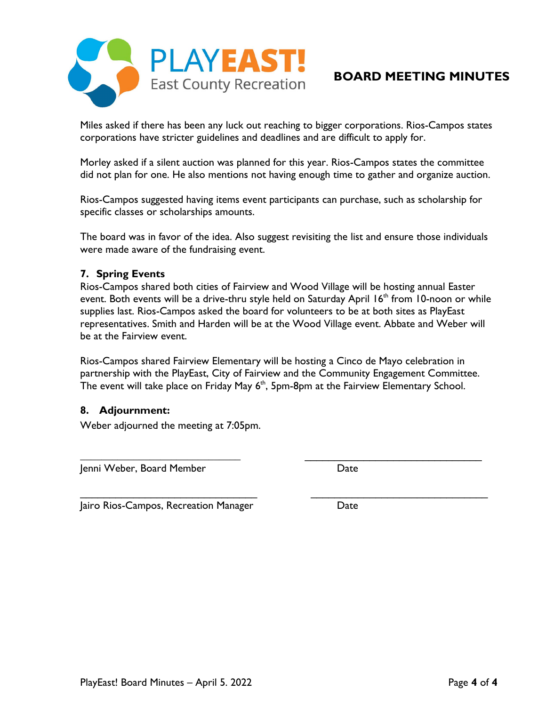

## **BOARD MEETING MINUTES**

Miles asked if there has been any luck out reaching to bigger corporations. Rios-Campos states corporations have stricter guidelines and deadlines and are difficult to apply for.

Morley asked if a silent auction was planned for this year. Rios-Campos states the committee did not plan for one. He also mentions not having enough time to gather and organize auction.

Rios-Campos suggested having items event participants can purchase, such as scholarship for specific classes or scholarships amounts.

The board was in favor of the idea. Also suggest revisiting the list and ensure those individuals were made aware of the fundraising event.

### **7. Spring Events**

Rios-Campos shared both cities of Fairview and Wood Village will be hosting annual Easter event. Both events will be a drive-thru style held on Saturday April 16<sup>th</sup> from 10-noon or while supplies last. Rios-Campos asked the board for volunteers to be at both sites as PlayEast representatives. Smith and Harden will be at the Wood Village event. Abbate and Weber will be at the Fairview event.

Rios-Campos shared Fairview Elementary will be hosting a Cinco de Mayo celebration in partnership with the PlayEast, City of Fairview and the Community Engagement Committee. The event will take place on Friday May 6<sup>th</sup>, 5pm-8pm at the Fairview Elementary School.

**\_\_\_\_\_\_\_\_\_\_\_\_\_\_\_\_\_\_\_\_\_\_\_\_\_\_\_\_\_\_** \_\_\_\_\_\_\_\_\_\_\_\_\_\_\_\_\_\_\_\_\_\_\_\_\_\_\_\_\_\_

\_\_\_\_\_\_\_\_\_\_\_\_\_\_\_\_\_\_\_\_\_\_\_\_\_\_\_\_\_\_ \_\_\_\_\_\_\_\_\_\_\_\_\_\_\_\_\_\_\_\_\_\_\_\_\_\_\_\_\_\_

### **8. Adjournment:**

Weber adjourned the meeting at 7:05pm.

Jenni Weber, Board Member **Date** Date

Jairo Rios-Campos, Recreation Manager Date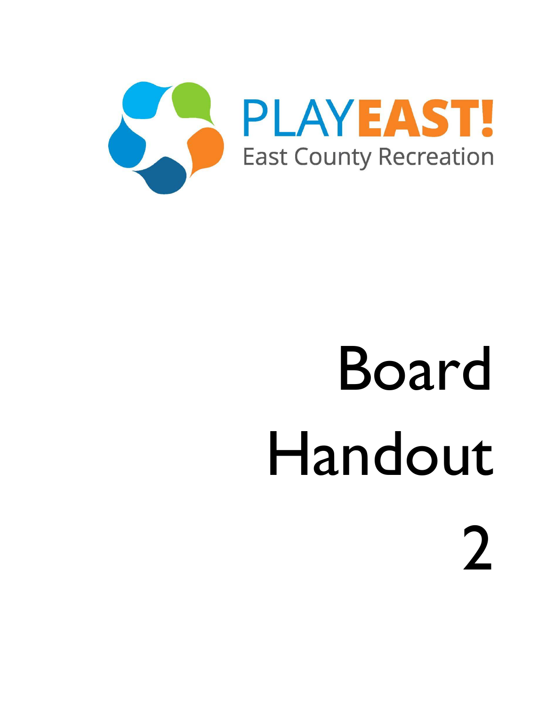

 $\int$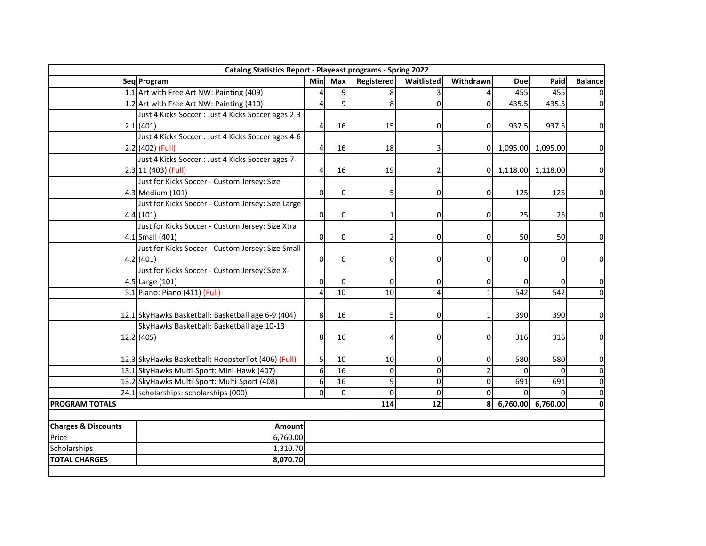| <b>Catalog Statistics Report - Playeast programs - Spring 2022</b> |                                                    |                         |                 |            |                |           |            |                   |                     |
|--------------------------------------------------------------------|----------------------------------------------------|-------------------------|-----------------|------------|----------------|-----------|------------|-------------------|---------------------|
|                                                                    | Seg Program                                        | Min                     | Max             | Registered | Waitlisted     | Withdrawn | <b>Due</b> | Paid              | <b>Balance</b>      |
|                                                                    | 1.1 Art with Free Art NW: Painting (409)           | $\overline{4}$          | 9               | 8          |                |           | 455        | 455               | 0                   |
|                                                                    | 1.2 Art with Free Art NW: Painting (410)           | 4                       | 9               | 8          | $\Omega$       | $\Omega$  | 435.5      | 435.5             | $\pmb{0}$           |
|                                                                    | Just 4 Kicks Soccer : Just 4 Kicks Soccer ages 2-3 |                         |                 |            |                |           |            |                   |                     |
|                                                                    | 2.1(401)                                           | 4                       | 16              | 15         | $\mathbf{0}$   | 0         | 937.5      | 937.5             | 0                   |
|                                                                    | Just 4 Kicks Soccer: Just 4 Kicks Soccer ages 4-6  |                         |                 |            |                |           |            |                   |                     |
|                                                                    | 2.2 (402) (Full)                                   | 4                       | 16              | 18         | 3              | Οl        |            | 1,095.00 1,095.00 | $\mathbf 0$         |
|                                                                    | Just 4 Kicks Soccer : Just 4 Kicks Soccer ages 7-  |                         |                 |            |                |           |            |                   |                     |
|                                                                    | 2.3 11 (403) (Full)                                | $\overline{\mathbf{r}}$ | 16              | 19         | 2              | 0         |            | 1,118.00 1,118.00 | $\mathsf{O}\xspace$ |
|                                                                    | Just for Kicks Soccer - Custom Jersey: Size        |                         |                 |            |                |           |            |                   |                     |
|                                                                    | 4.3 Medium (101)                                   | $\mathsf{O}\xspace$     | 0               | 5          | 0              | 0         | 125        | 125               | 0                   |
|                                                                    | Just for Kicks Soccer - Custom Jersey: Size Large  |                         |                 |            |                |           |            |                   |                     |
|                                                                    | 4.4(101)                                           | 0                       | 0               | 1          | 0              | n         | 25         | 25                | $\mathsf{O}\xspace$ |
|                                                                    | Just for Kicks Soccer - Custom Jersey: Size Xtra   |                         |                 |            |                |           |            |                   |                     |
|                                                                    | 4.1 Small (401)                                    | $\pmb{0}$               | 0               | 2          | $\overline{0}$ | 0         | 50         | 50                | $\mathsf{O}\xspace$ |
|                                                                    | Just for Kicks Soccer - Custom Jersey: Size Small  |                         |                 |            |                |           |            |                   |                     |
|                                                                    | 4.2(401)                                           | 0                       | 0               | 0          | $\Omega$       | n         | 0          | 0                 | $\mathsf{O}\xspace$ |
|                                                                    | Just for Kicks Soccer - Custom Jersey: Size X-     |                         |                 |            |                |           |            |                   |                     |
|                                                                    | 4.5 Large (101)                                    | 0                       | $\Omega$        | 0          | 0              |           |            |                   | 0                   |
|                                                                    | 5.1 Piano: Piano (411) (Full)                      | $\overline{\mathbf{4}}$ | $\overline{10}$ | 10         | 4              |           | 542        | 542               | $\pmb{0}$           |
|                                                                    |                                                    |                         |                 |            |                |           |            |                   |                     |
|                                                                    | 12.1 SkyHawks Basketball: Basketball age 6-9 (404) | 8                       | 16              | 5          | $\overline{0}$ |           | 390        | 390               | 0                   |
|                                                                    | SkyHawks Basketball: Basketball age 10-13          |                         |                 |            |                |           |            |                   |                     |
|                                                                    | 12.2 (405)                                         | 8                       | 16              | 4          | $\overline{0}$ | 0         | 316        | 316               | 0                   |
|                                                                    |                                                    |                         |                 |            |                |           |            |                   |                     |
|                                                                    | 12.3 SkyHawks Basketball: HoopsterTot (406) (Full) | 5                       | 10              | 10         | 0              | 0         | 580        | 580               | 0                   |
|                                                                    | 13.1 SkyHawks Multi-Sport: Mini-Hawk (407)         | $\overline{6}$          | $\overline{16}$ | 0          | $\overline{0}$ |           |            |                   | 0                   |
|                                                                    | 13.2 SkyHawks Multi-Sport: Multi-Sport (408)       | $\boldsymbol{6}$        | 16              | 9          | $\overline{0}$ | ŋ         | 691        | 691               | 0                   |
|                                                                    | 24.1 scholarships: scholarships (000)              | $\mathsf{O}\xspace$     | $\mathbf 0$     | $\Omega$   | $\Omega$       | 0         |            |                   | 0                   |
| <b>PROGRAM TOTALS</b>                                              |                                                    |                         |                 | 114        | 12             | 8         |            | 6,760.00 6,760.00 | 0                   |
|                                                                    |                                                    |                         |                 |            |                |           |            |                   |                     |
| <b>Charges &amp; Discounts</b>                                     | Amount                                             |                         |                 |            |                |           |            |                   |                     |
| Price                                                              | 6,760.00                                           |                         |                 |            |                |           |            |                   |                     |
| Scholarships                                                       | 1,310.70                                           |                         |                 |            |                |           |            |                   |                     |
| <b>TOTAL CHARGES</b>                                               | 8,070.70                                           |                         |                 |            |                |           |            |                   |                     |
|                                                                    |                                                    |                         |                 |            |                |           |            |                   |                     |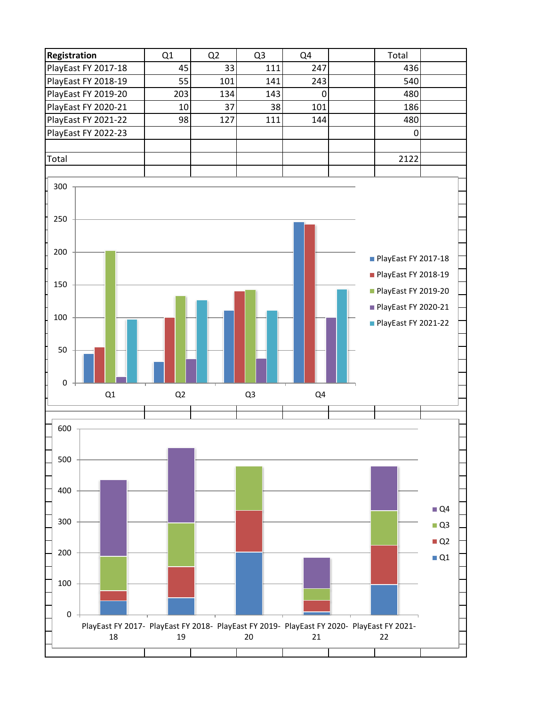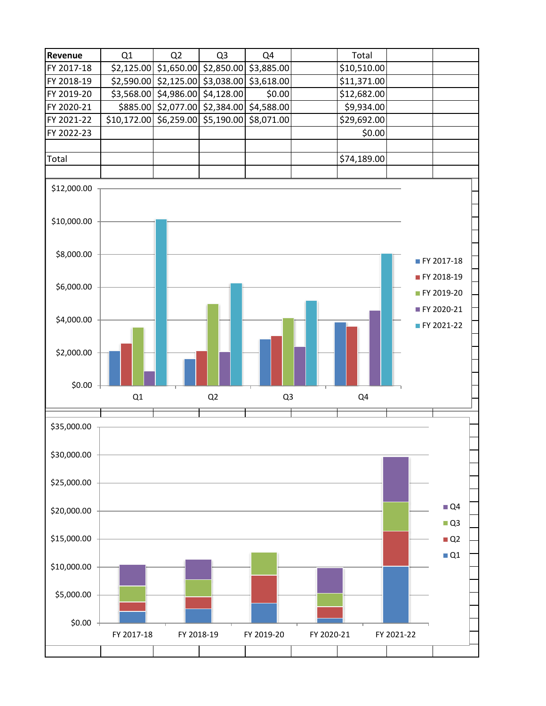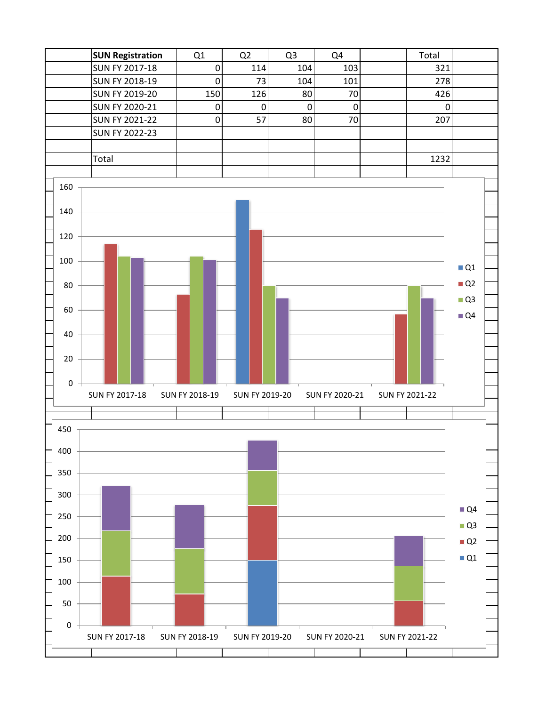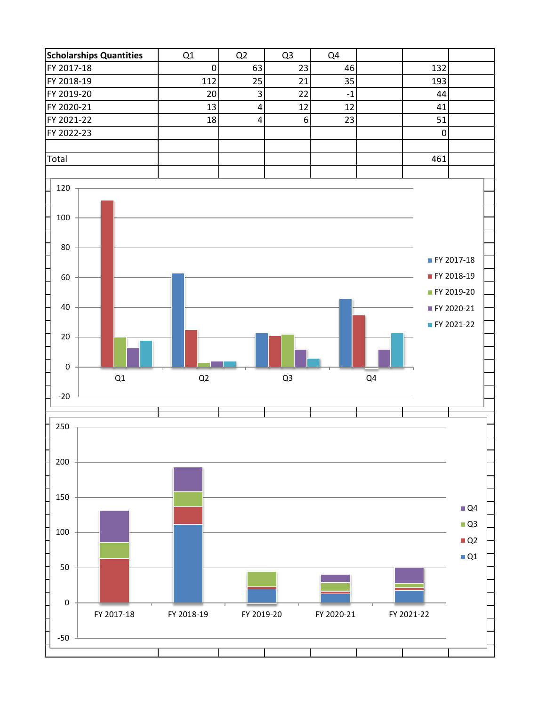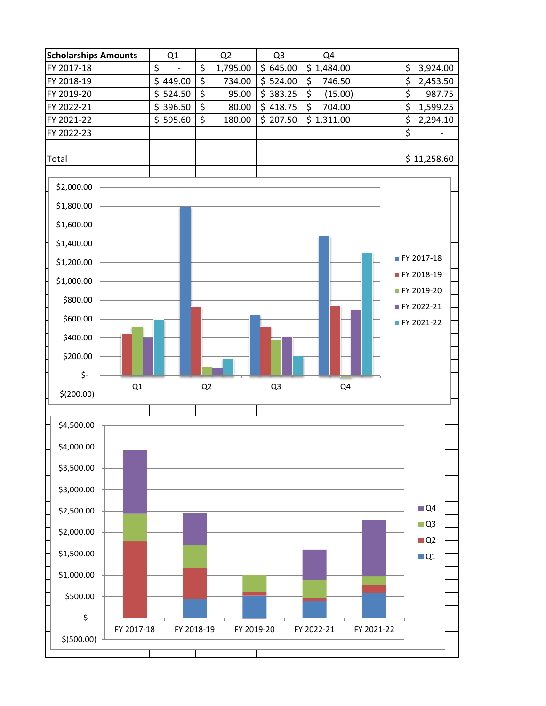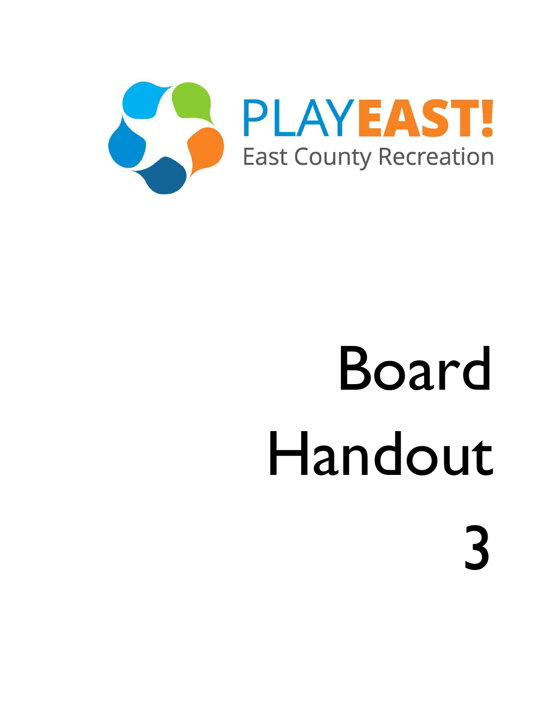

3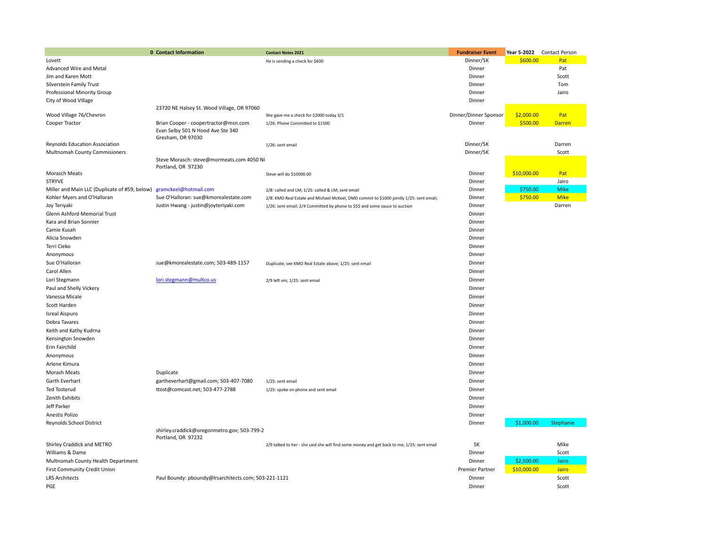|                                               | 0 Contact Information                                                                          | <b>Contact Notes 2021</b>                                                                  | <b>Fundraiser Event</b> |             | Year 5-2022 Contact Person |
|-----------------------------------------------|------------------------------------------------------------------------------------------------|--------------------------------------------------------------------------------------------|-------------------------|-------------|----------------------------|
| Lovett                                        |                                                                                                | He is sending a check for \$600                                                            | Dinner/5K               | \$600.00    | Pat                        |
| Advanced Wire and Metal                       |                                                                                                |                                                                                            | Dinner                  |             | Pat                        |
| Jim and Karen Mott                            |                                                                                                |                                                                                            | Dinner                  |             | Scott                      |
| Silverstein Family Trust                      |                                                                                                |                                                                                            | Dinner                  |             | Tom                        |
| Professional Minority Group                   |                                                                                                |                                                                                            | Dinner                  |             | Jairo                      |
| City of Wood Village                          |                                                                                                |                                                                                            | Dinner                  |             |                            |
|                                               | 23720 NE Halsey St. Wood Village, OR 97060                                                     |                                                                                            |                         |             |                            |
| Wood Village 76/Chevron                       |                                                                                                | She gave me a check for \$2000 today 3/1                                                   | Dinner/Dinner Sponsor   | \$2,000.00  | Pat                        |
| Cooper Tractor                                | Brian Cooper - coopertractor@msn.com<br>Evan Selby 501 N Hood Ave Ste 340<br>Gresham, OR 97030 | 1/26: Phone Committed to \$1500                                                            | Dinner                  | \$500.00    | <b>Darren</b>              |
| Reynolds Education Association                |                                                                                                | 1/26: sent email                                                                           | Dinner/5K               |             | Darren                     |
| Multnomah County Commisioners                 | Steve Morasch: steve@mormeats.com 4050 NI<br>Portland, OR 97230                                |                                                                                            | Dinner/5K               |             | Scott                      |
| Morasch Meats                                 |                                                                                                | Steve will do \$10000.00                                                                   | Dinner                  | \$10,000.00 | Pat                        |
| <b>STRYVE</b>                                 |                                                                                                |                                                                                            | Dinner                  |             | Jairo                      |
| Miller and Main LLC (Duplicate of #59, below) | gramckeel@hotmail.com                                                                          | 2/8: called and LM; 1/25: called & LM; sent email                                          | Dinner                  | \$750.00    | <b>Mike</b>                |
| Kohler Myers and O'Halloran                   | Sue O'Halloran: sue@kmorealestate.com                                                          | 2/8: KMO Real Estate and Michael McKeel, DMD commit to \$1000 jointly 1/25: sent email;    | Dinner                  | \$750.00    | <b>Mike</b>                |
| Joy Teriyaki                                  | Justin Hwang - justin@joyteriyaki.com                                                          | 1/26: sent email; 2/4 Committed by phone to \$\$\$ and some sauce to auction               | Dinner                  |             | Darren                     |
| Glenn Ashford Memorial Trust                  |                                                                                                |                                                                                            | Dinner                  |             |                            |
| Kara and Brian Sonnier                        |                                                                                                |                                                                                            | Dinner                  |             |                            |
| Camie Kusah                                   |                                                                                                |                                                                                            | Dinner                  |             |                            |
| Alicia Snowden                                |                                                                                                |                                                                                            | Dinner                  |             |                            |
| Terri Cieko                                   |                                                                                                |                                                                                            | Dinner                  |             |                            |
| Anonymous                                     |                                                                                                |                                                                                            | Dinner                  |             |                            |
| Sue O'Halloran                                | sue@kmorealestate.com; 503-489-1157                                                            | Duplicate; see KMO Real Estate above; 1/25: sent email                                     | Dinner                  |             |                            |
| Carol Allen                                   |                                                                                                |                                                                                            | Dinner                  |             |                            |
| Lori Stegmann                                 | lori.stegmann@multco.us                                                                        | 2/9 left vm; 1/25: sent email                                                              | Dinner                  |             |                            |
| Paul and Shelly Vickery                       |                                                                                                |                                                                                            | Dinner                  |             |                            |
| Vanessa Micale                                |                                                                                                |                                                                                            | Dinner                  |             |                            |
| Scott Harden                                  |                                                                                                |                                                                                            | Dinner                  |             |                            |
| Isreal Aispuro                                |                                                                                                |                                                                                            | Dinner                  |             |                            |
| Debra Tavares                                 |                                                                                                |                                                                                            | Dinner                  |             |                            |
| Keith and Kathy Kudrna                        |                                                                                                |                                                                                            | Dinner                  |             |                            |
| Kensington Snowden                            |                                                                                                |                                                                                            | Dinner                  |             |                            |
| Erin Fairchild                                |                                                                                                |                                                                                            | Dinner                  |             |                            |
| Anonymous                                     |                                                                                                |                                                                                            | Dinner                  |             |                            |
| Arlene Kimura                                 |                                                                                                |                                                                                            | Dinner                  |             |                            |
| Morash Meats                                  | Duplicate                                                                                      |                                                                                            | Dinner                  |             |                            |
| Garth Everhart                                | gartheverhart@gmail.com; 503-407-7080                                                          | 1/25: sent email                                                                           | Dinner                  |             |                            |
| Ted Tosterud                                  | ttost@comcast.net; 503-477-2788                                                                | 1/25: spoke on phone and sent email                                                        | Dinner                  |             |                            |
| Zenith Exhibits                               |                                                                                                |                                                                                            | Dinner                  |             |                            |
| Jeff Parker                                   |                                                                                                |                                                                                            | Dinner                  |             |                            |
| Anestis Polizo                                |                                                                                                |                                                                                            | Dinner                  |             |                            |
| Reynolds School District                      |                                                                                                |                                                                                            | Dinner                  | \$1,000.00  | Stephanie                  |
|                                               | shirley.craddick@oregonmetro.gov; 503-799-2<br>Portland, OR 97232                              |                                                                                            |                         |             |                            |
| Shirley Craddick and METRO                    |                                                                                                | 2/9 talked to her - she said she will find some money and get back to me; 1/25: sent email | 5K                      |             | Mike                       |
| Williams & Dame                               |                                                                                                |                                                                                            | Dinner                  |             | Scott                      |
| Multnomah County Health Department            |                                                                                                |                                                                                            | Dinner                  | \$2,500.00  | Jairo                      |
| First Community Credit Union                  |                                                                                                |                                                                                            | Premier Partner         | \$10,000.00 | Jairo                      |
| <b>LRS Architects</b>                         | Paul Boundy: pboundy@Irsarchitects.com; 503-221-1121                                           |                                                                                            | Dinner                  |             | Scott                      |
| PGE                                           |                                                                                                |                                                                                            | Dinner                  |             | Scott                      |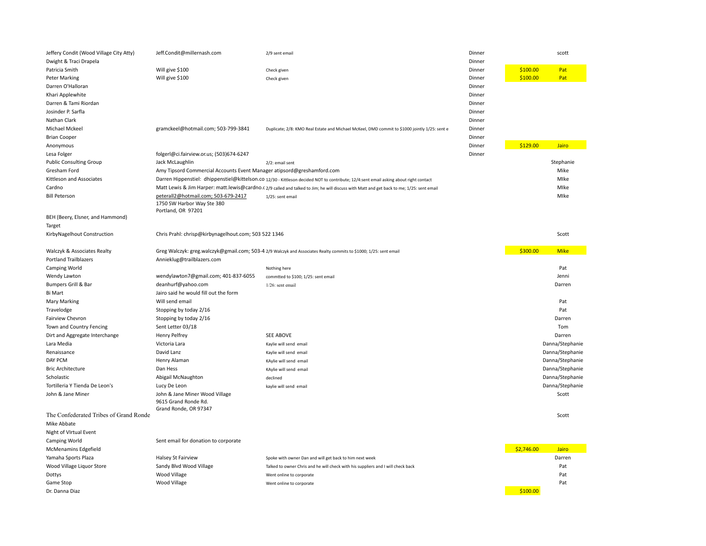| Jeffery Condit (Wood Village City Atty)<br>Dwight & Traci Drapela | Jeff.Condit@millernash.com                                                              | 2/9 sent email                                                                                                                            | Dinner<br>Dinner |            | scott           |
|-------------------------------------------------------------------|-----------------------------------------------------------------------------------------|-------------------------------------------------------------------------------------------------------------------------------------------|------------------|------------|-----------------|
| Patricia Smith                                                    | Will give \$100                                                                         | Check given                                                                                                                               | Dinner           | \$100.00   | Pat             |
| <b>Peter Marking</b>                                              | Will give \$100                                                                         | Check given                                                                                                                               | Dinner           | \$100.00   | Pat             |
| Darren O'Halloran                                                 |                                                                                         |                                                                                                                                           | Dinner           |            |                 |
| Khari Applewhite                                                  |                                                                                         |                                                                                                                                           | Dinner           |            |                 |
| Darren & Tami Riordan                                             |                                                                                         |                                                                                                                                           | Dinner           |            |                 |
| Josinder P. Sarfla                                                |                                                                                         |                                                                                                                                           | Dinner           |            |                 |
| Nathan Clark                                                      |                                                                                         |                                                                                                                                           | Dinner           |            |                 |
| Michael Mckeel                                                    | gramckeel@hotmail.com; 503-799-3841                                                     | Duplicate; 2/8: KMO Real Estate and Michael McKeel, DMD commit to \$1000 jointly 1/25: sent e                                             | Dinner           |            |                 |
| <b>Brian Cooper</b>                                               |                                                                                         |                                                                                                                                           | Dinner           |            |                 |
| Anonymous                                                         |                                                                                         |                                                                                                                                           | Dinner           | \$129.00   | Jairo           |
| Lesa Folger                                                       | folgerl@ci.fairview.or.us; (503)674-6247                                                |                                                                                                                                           | Dinner           |            |                 |
| <b>Public Consulting Group</b>                                    | Jack McLaughlin                                                                         | 2/2: email sent                                                                                                                           |                  |            | Stephanie       |
| Gresham Ford                                                      | Amy Tipsord Commercial Accounts Event Manager atipsord@greshamford.com                  |                                                                                                                                           |                  |            | Mike            |
| Kittleson and Associates                                          |                                                                                         | Darren Hippenstiel: dhippenstiel@kittelson.co 12/30 - Kittleson decided NOT to contribute; 12/4:sent email asking about right contact     |                  |            | Mlke            |
| Cardno                                                            |                                                                                         | Matt Lewis & Jim Harper: matt.lewis@cardno.c 2/9 called and talked to Jim; he will discuss with Matt and get back to me; 1/25: sent email |                  |            | Mlke            |
| <b>Bill Peterson</b>                                              | peterall2@hotmail.com; 503-679-2417<br>1750 SW Harbor Way Ste 380<br>Portland, OR 97201 | 1/25: sent email                                                                                                                          |                  |            | MIke            |
| BEH (Beery, Elsner, and Hammond)                                  |                                                                                         |                                                                                                                                           |                  |            |                 |
| Target                                                            |                                                                                         |                                                                                                                                           |                  |            |                 |
| KirbyNagelhout Construction                                       | Chris Prahl: chrisp@kirbynagelhout.com; 503 522 1346                                    |                                                                                                                                           |                  |            | Scott           |
| Walczyk & Associates Realty                                       |                                                                                         | Greg Walczyk: greg.walczyk@gmail.com; 503-4 2/9 Walczyk and Associates Realty commits to \$1000; 1/25: sent email                         |                  | \$300.00   | <b>Mike</b>     |
| <b>Portland Trailblazers</b>                                      | Annieklug@trailblazers.com                                                              |                                                                                                                                           |                  |            |                 |
| Camping World                                                     |                                                                                         | Nothing here                                                                                                                              |                  |            | Pat             |
| Wendy Lawton                                                      | wendylawton7@gmail.com; 401-837-6055                                                    | commtted to \$100; 1/25: sent email                                                                                                       |                  |            | Jenni           |
| Bumpers Grill & Bar                                               | deanhurf@yahoo.com                                                                      | $1/26$ : sent email                                                                                                                       |                  |            | Darren          |
| <b>Bi Mart</b>                                                    | Jairo said he would fill out the form                                                   |                                                                                                                                           |                  |            |                 |
| Mary Marking                                                      | Will send email                                                                         |                                                                                                                                           |                  |            | Pat             |
| Travelodge                                                        | Stopping by today 2/16                                                                  |                                                                                                                                           |                  |            | Pat             |
| Fairview Chevron                                                  | Stopping by today 2/16                                                                  |                                                                                                                                           |                  |            | Darren          |
| Town and Country Fencing                                          | Sent Letter 03/18                                                                       |                                                                                                                                           |                  |            | Tom             |
| Dirt and Aggregate Interchange                                    | <b>Henry Pelfrey</b>                                                                    | SEE ABOVE                                                                                                                                 |                  |            | Darren          |
| Lara Media                                                        | Victoria Lara                                                                           | Kaylie will send email                                                                                                                    |                  |            | Danna/Stephanie |
| Renaissance                                                       | David Lanz                                                                              | Kaylie will send email                                                                                                                    |                  |            | Danna/Stephanie |
| DAY PCM                                                           | Henry Alaman                                                                            | KAylie will send email                                                                                                                    |                  |            | Danna/Stephanie |
| <b>Bric Architecture</b>                                          | Dan Hess                                                                                | KAylie will send email                                                                                                                    |                  |            | Danna/Stephanie |
| Scholastic                                                        | Abigail McNaughton                                                                      | declined                                                                                                                                  |                  |            | Danna/Stephanie |
| Tortilleria Y Tienda De Leon's                                    | Lucy De Leon                                                                            | kaylie will send email                                                                                                                    |                  |            | Danna/Stephanie |
| John & Jane Miner                                                 | John & Jane Miner Wood Village<br>9615 Grand Ronde Rd.<br>Grand Ronde, OR 97347         |                                                                                                                                           |                  |            | Scott           |
| The Confederated Tribes of Grand Ronde                            |                                                                                         |                                                                                                                                           |                  |            | Scott           |
| Mike Abbate                                                       |                                                                                         |                                                                                                                                           |                  |            |                 |
| Night of VIrtual Event                                            |                                                                                         |                                                                                                                                           |                  |            |                 |
| Camping World                                                     | Sent email for donation to corporate                                                    |                                                                                                                                           |                  |            |                 |
| McMenamins Edgefield                                              |                                                                                         |                                                                                                                                           |                  | \$2,746.00 | Jairo           |
| Yamaha Sports Plaza                                               | <b>Halsey St Fairview</b>                                                               | Spoke with owner Dan and will get back to him next week                                                                                   |                  |            | Darren          |
| Wood Village Liquor Store                                         | Sandy Blvd Wood Village                                                                 | Talked to owner Chris and he will check with his suppliers and I will check back                                                          |                  |            | Pat             |
| Dottys                                                            | Wood Village                                                                            | Went online to corporate                                                                                                                  |                  |            | Pat             |
| Game Stop                                                         | Wood Village                                                                            | Went online to corporate                                                                                                                  |                  |            | Pat             |
| Dr. Danna Diaz                                                    |                                                                                         |                                                                                                                                           |                  | \$100.00   |                 |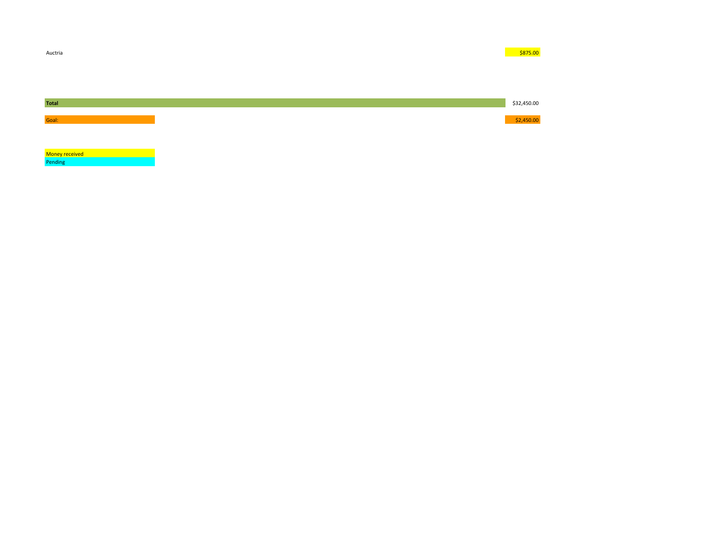

**Money received Money Francisco Community** Pending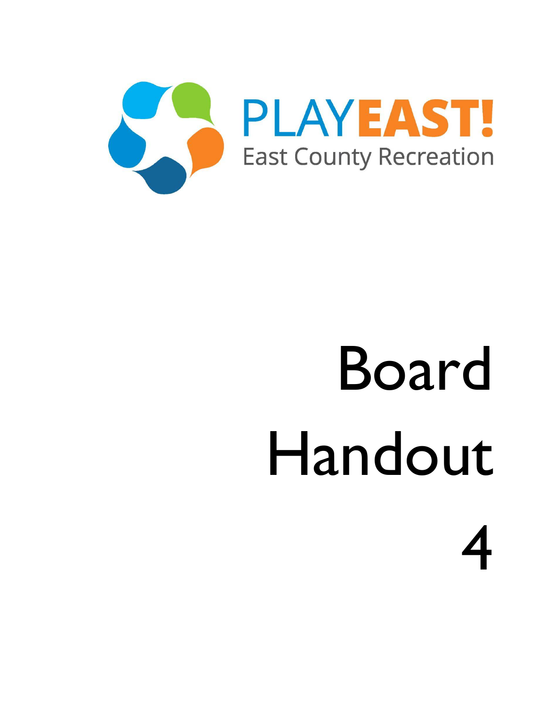